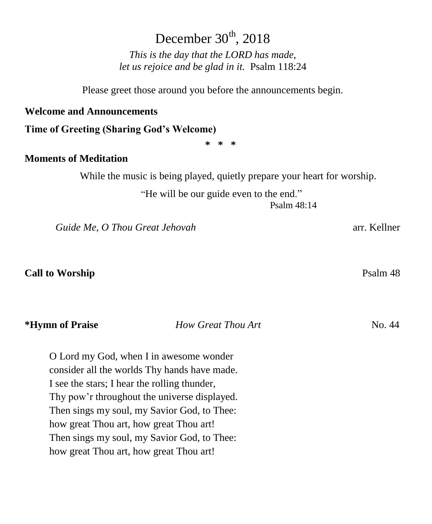# December  $30<sup>th</sup>$ , 2018

*This is the day that the LORD has made, let us rejoice and be glad in it.* Psalm 118:24

Please greet those around you before the announcements begin.

#### **Welcome and Announcements**

**Time of Greeting (Sharing God's Welcome)**

**\* \* \***

#### **Moments of Meditation**

While the music is being played, quietly prepare your heart for worship.

"He will be our guide even to the end." Psalm 48:14

 *Guide Me, O Thou Great Jehovah* arr. Kellner

#### **Call to Worship** Psalm 48

**\*Hymn of Praise** *How Great Thou Art* **<b>1976 No. 44** O Lord my God, when I in awesome wonder

consider all the worlds Thy hands have made. I see the stars; I hear the rolling thunder, Thy pow'r throughout the universe displayed. Then sings my soul, my Savior God, to Thee: how great Thou art, how great Thou art! Then sings my soul, my Savior God, to Thee: how great Thou art, how great Thou art!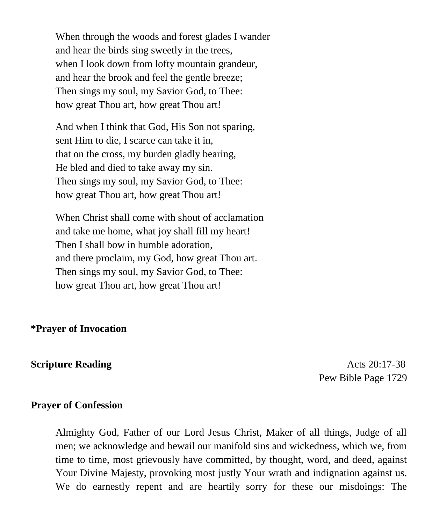When through the woods and forest glades I wander and hear the birds sing sweetly in the trees, when I look down from lofty mountain grandeur, and hear the brook and feel the gentle breeze; Then sings my soul, my Savior God, to Thee: how great Thou art, how great Thou art!

And when I think that God, His Son not sparing, sent Him to die, I scarce can take it in, that on the cross, my burden gladly bearing, He bled and died to take away my sin. Then sings my soul, my Savior God, to Thee: how great Thou art, how great Thou art!

When Christ shall come with shout of acclamation and take me home, what joy shall fill my heart! Then I shall bow in humble adoration, and there proclaim, my God, how great Thou art. Then sings my soul, my Savior God, to Thee: how great Thou art, how great Thou art!

#### **\*Prayer of Invocation**

**Scripture Reading**  $\text{Acts } 20:17-38$ Pew Bible Page 1729

#### **Prayer of Confession**

Almighty God, Father of our Lord Jesus Christ, Maker of all things, Judge of all men; we acknowledge and bewail our manifold sins and wickedness, which we, from time to time, most grievously have committed, by thought, word, and deed, against Your Divine Majesty, provoking most justly Your wrath and indignation against us. We do earnestly repent and are heartily sorry for these our misdoings: The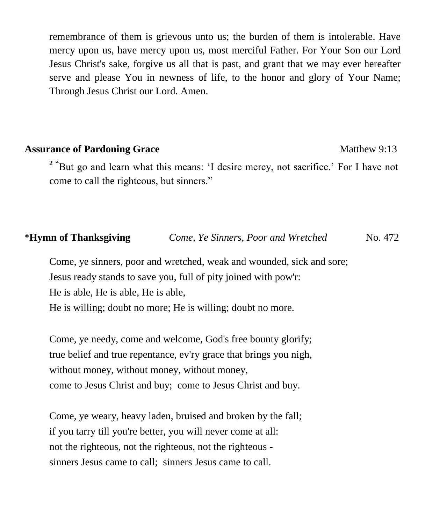remembrance of them is grievous unto us; the burden of them is intolerable. Have mercy upon us, have mercy upon us, most merciful Father. For Your Son our Lord Jesus Christ's sake, forgive us all that is past, and grant that we may ever hereafter serve and please You in newness of life, to the honor and glory of Your Name; Through Jesus Christ our Lord. Amen.

#### **Assurance of Pardoning Grace** Matthew 9:13

<sup>2</sup> <sup>"</sup>But go and learn what this means: 'I desire mercy, not sacrifice.' For I have not come to call the righteous, but sinners."

### **\*Hymn of Thanksgiving** *Come, Ye Sinners, Poor and Wretched* No. 472

Come, ye sinners, poor and wretched, weak and wounded, sick and sore; Jesus ready stands to save you, full of pity joined with pow'r: He is able, He is able, He is able,

He is willing; doubt no more; He is willing; doubt no more.

Come, ye needy, come and welcome, God's free bounty glorify; true belief and true repentance, ev'ry grace that brings you nigh, without money, without money, without money, come to Jesus Christ and buy; come to Jesus Christ and buy.

Come, ye weary, heavy laden, bruised and broken by the fall; if you tarry till you're better, you will never come at all: not the righteous, not the righteous, not the righteous sinners Jesus came to call; sinners Jesus came to call.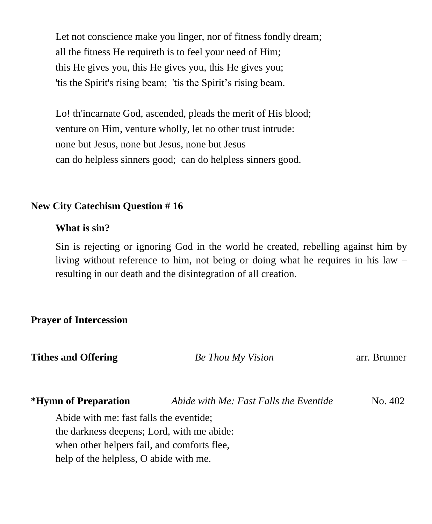Let not conscience make you linger, nor of fitness fondly dream; all the fitness He requireth is to feel your need of Him; this He gives you, this He gives you, this He gives you; 'tis the Spirit's rising beam; 'tis the Spirit's rising beam.

Lo! th'incarnate God, ascended, pleads the merit of His blood; venture on Him, venture wholly, let no other trust intrude: none but Jesus, none but Jesus, none but Jesus can do helpless sinners good; can do helpless sinners good.

#### **New City Catechism Question # 16**

#### **What is sin?**

Sin is rejecting or ignoring God in the world he created, rebelling against him by living without reference to him, not being or doing what he requires in his law – resulting in our death and the disintegration of all creation.

#### **Prayer of Intercession**

**Tithes and Offering** Be Thou My Vision *Be Thou My Vision* arr. Brunner

**\*Hymn of Preparation** *Abide with Me: Fast Falls the Eventide* No. 402

Abide with me: fast falls the eventide; the darkness deepens; Lord, with me abide: when other helpers fail, and comforts flee, help of the helpless, O abide with me.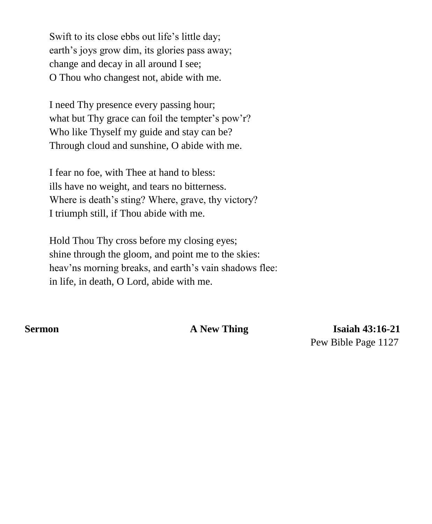Swift to its close ebbs out life's little day; earth's joys grow dim, its glories pass away; change and decay in all around I see; O Thou who changest not, abide with me.

I need Thy presence every passing hour; what but Thy grace can foil the tempter's pow'r? Who like Thyself my guide and stay can be? Through cloud and sunshine, O abide with me.

I fear no foe, with Thee at hand to bless: ills have no weight, and tears no bitterness. Where is death's sting? Where, grave, thy victory? I triumph still, if Thou abide with me.

Hold Thou Thy cross before my closing eyes; shine through the gloom, and point me to the skies: heav'ns morning breaks, and earth's vain shadows flee: in life, in death, O Lord, abide with me.

**Sermon A New Thing Isaiah 43:16-21** Pew Bible Page 1127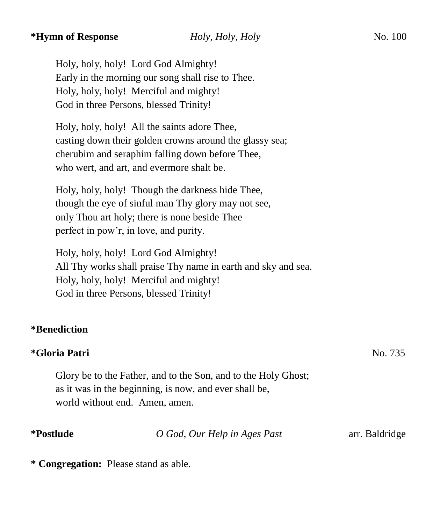#### **\*Hymn of Response** *Photos, Holy, Holy, Holy No. 100* **No. 100**

Holy, holy, holy! Lord God Almighty! Early in the morning our song shall rise to Thee. Holy, holy, holy! Merciful and mighty! God in three Persons, blessed Trinity!

Holy, holy, holy! All the saints adore Thee, casting down their golden crowns around the glassy sea; cherubim and seraphim falling down before Thee, who wert, and art, and evermore shalt be.

Holy, holy, holy! Though the darkness hide Thee, though the eye of sinful man Thy glory may not see, only Thou art holy; there is none beside Thee perfect in pow'r, in love, and purity.

Holy, holy, holy! Lord God Almighty! All Thy works shall praise Thy name in earth and sky and sea. Holy, holy, holy! Merciful and mighty! God in three Persons, blessed Trinity!

#### **\*Benediction**

### **\*Gloria Patri** No. 735

Glory be to the Father, and to the Son, and to the Holy Ghost; as it was in the beginning, is now, and ever shall be, world without end. Amen, amen.

**\*Postlude** *O God, Our Help in Ages Past* arr. Baldridge

**\* Congregation:** Please stand as able.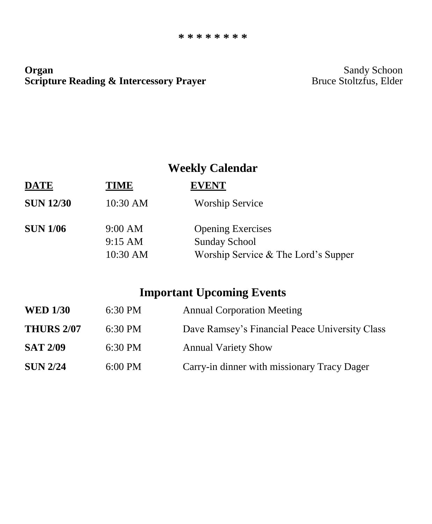### **Organ** Sandy Schoon **Scripture Reading & Intercessory Prayer** Bruce Stoltzfus, Elder

# **Weekly Calendar DATE TIME EVENT SUN 12/30** 10:30 AM Worship Service **SUN 1/06** 9:00 AM Opening Exercises 9:15 AM Sunday School 10:30 AM Worship Service & The Lord's Supper

### **Important Upcoming Events**

| <b>WED 1/30</b>   | 6:30 PM   | <b>Annual Corporation Meeting</b>              |
|-------------------|-----------|------------------------------------------------|
| <b>THURS 2/07</b> | 6:30 PM   | Dave Ramsey's Financial Peace University Class |
| <b>SAT 2/09</b>   | 6:30 PM   | <b>Annual Variety Show</b>                     |
| <b>SUN 2/24</b>   | $6:00$ PM | Carry-in dinner with missionary Tracy Dager    |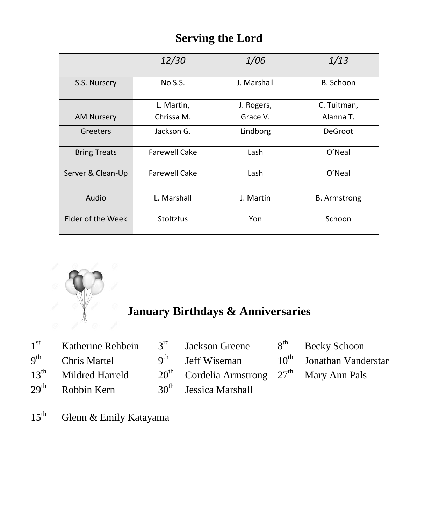## **Serving the Lord**

|                     | 12/30         | 1/06        | 1/13                |
|---------------------|---------------|-------------|---------------------|
| S.S. Nursery        | No S.S.       | J. Marshall | B. Schoon           |
|                     | L. Martin,    | J. Rogers,  | C. Tuitman,         |
| <b>AM Nursery</b>   | Chrissa M.    | Grace V.    | Alanna T.           |
| Greeters            | Jackson G.    | Lindborg    | DeGroot             |
| <b>Bring Treats</b> | Farewell Cake | Lash        | O'Neal              |
| Server & Clean-Up   | Farewell Cake | Lash        | O'Neal              |
| Audio               | L. Marshall   | J. Martin   | <b>B.</b> Armstrong |
| Elder of the Week   | Stoltzfus     | Yon         | Schoon              |



# **January Birthdays & Anniversaries**

| 1 <sup>st</sup> Katherine Rehbein | 3 <sup>rd</sup> Jackson Greene                 | 8 <sup>th</sup> Becky Schoon |
|-----------------------------------|------------------------------------------------|------------------------------|
| 9 <sup>th</sup> Chris Martel      | $9th$ Jeff Wiseman $10th$ Jonathan Vanderstar  |                              |
| 13 <sup>th</sup> Mildred Harreld  | $20th$ Cordelia Armstrong $27th$ Mary Ann Pals |                              |
| $29th$ Robbin Kern                | $30th$ Jessica Marshall                        |                              |

15<sup>th</sup> Glenn & Emily Katayama